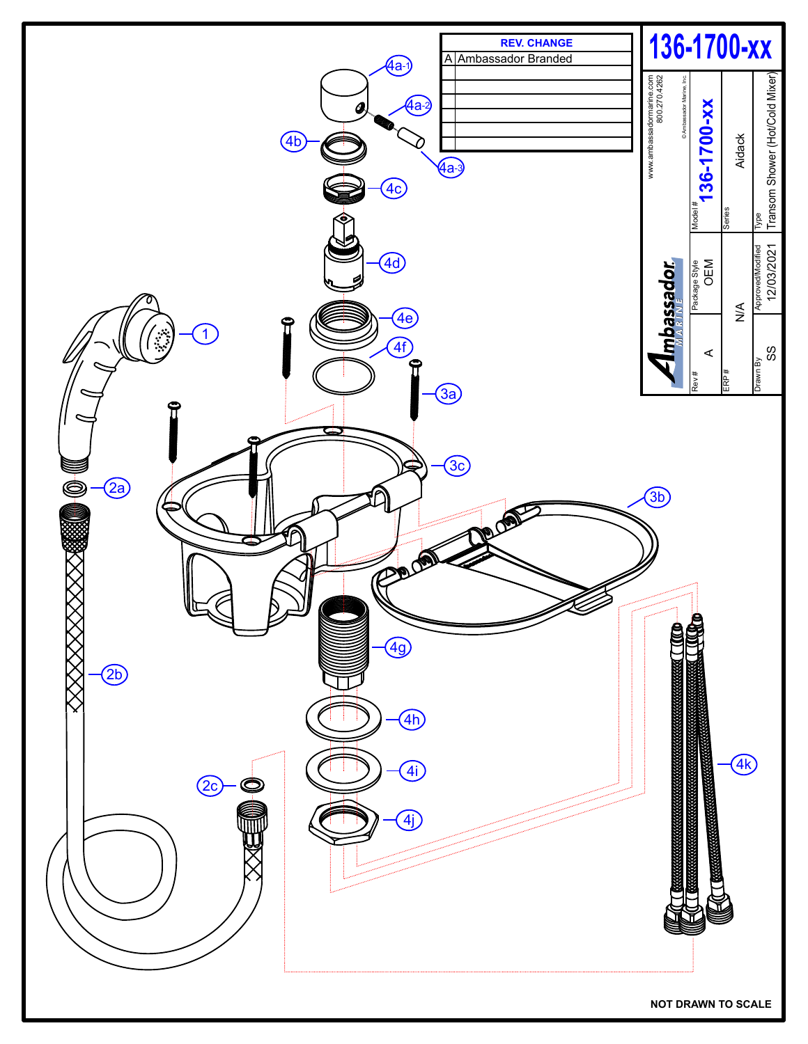

**NOT DRAWN TO SCALE**